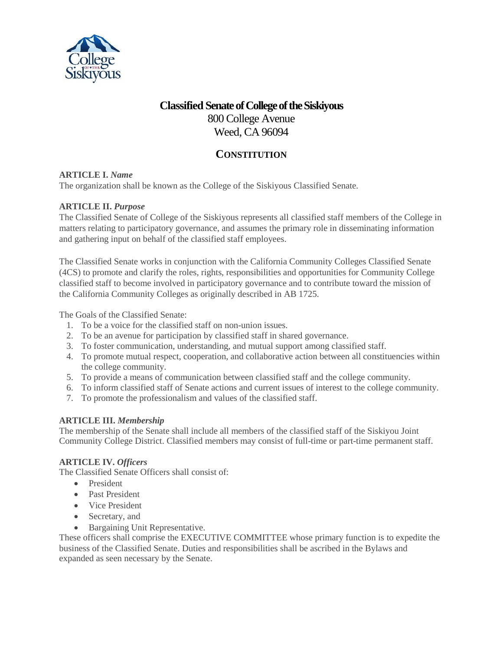

# **Classified Senateof College of the Siskiyous** 800 College Avenue Weed, CA 96094

# **CONSTITUTION**

# **ARTICLE I.** *Name*

The organization shall be known as the College of the Siskiyous Classified Senate.

# **ARTICLE II.** *Purpose*

The Classified Senate of College of the Siskiyous represents all classified staff members of the College in matters relating to participatory governance, and assumes the primary role in disseminating information and gathering input on behalf of the classified staff employees.

The Classified Senate works in conjunction with the California Community Colleges Classified Senate (4CS) to promote and clarify the roles, rights, responsibilities and opportunities for Community College classified staff to become involved in participatory governance and to contribute toward the mission of the California Community Colleges as originally described in AB 1725.

The Goals of the Classified Senate:

- 1. To be a voice for the classified staff on non-union issues.
- 2. To be an avenue for participation by classified staff in shared governance.
- 3. To foster communication, understanding, and mutual support among classified staff.
- 4. To promote mutual respect, cooperation, and collaborative action between all constituencies within the college community.
- 5. To provide a means of communication between classified staff and the college community.
- 6. To inform classified staff of Senate actions and current issues of interest to the college community.
- 7. To promote the professionalism and values of the classified staff.

# **ARTICLE III.** *Membership*

The membership of the Senate shall include all members of the classified staff of the Siskiyou Joint Community College District. Classified members may consist of full-time or part-time permanent staff.

# **ARTICLE IV.** *Officers*

The Classified Senate Officers shall consist of:

- President
- Past President
- Vice President
- Secretary, and
- Bargaining Unit Representative.

These officers shall comprise the EXECUTIVE COMMITTEE whose primary function is to expedite the business of the Classified Senate. Duties and responsibilities shall be ascribed in the Bylaws and expanded as seen necessary by the Senate.